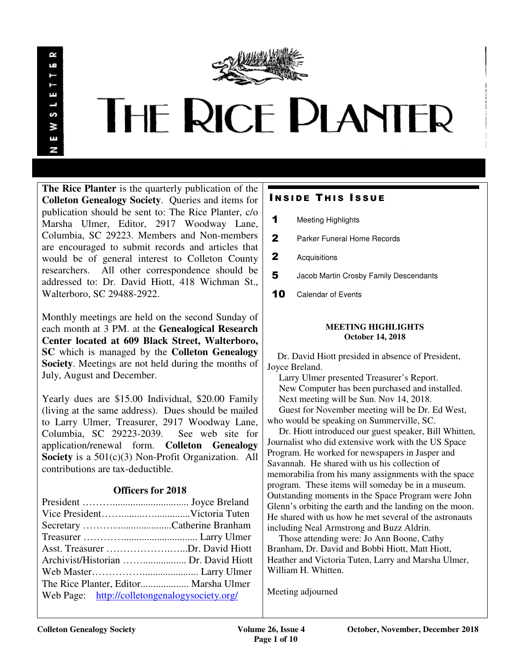

# **THE RICE PLANTER**

**The Rice Planter** is the quarterly publication of the **Colleton Genealogy Society**. Queries and items for publication should be sent to: The Rice Planter, c/o Marsha Ulmer, Editor, 2917 Woodway Lane, Columbia, SC 29223. Members and Non-members are encouraged to submit records and articles that would be of general interest to Colleton County researchers. All other correspondence should be addressed to: Dr. David Hiott, 418 Wichman St., Walterboro, SC 29488-2922.

Monthly meetings are held on the second Sunday of each month at 3 PM. at the **Genealogical Research Center located at 609 Black Street, Walterboro, SC** which is managed by the **Colleton Genealogy Society**. Meetings are not held during the months of July, August and December.

Yearly dues are \$15.00 Individual, \$20.00 Family (living at the same address). Dues should be mailed to Larry Ulmer, Treasurer, 2917 Woodway Lane, Columbia, SC 29223-2039. See web site for application/renewal form. **Colleton Genealogy Society** is a 501(c)(3) Non-Profit Organization. All contributions are tax-deductible.

# **Officers for 2018**

| Asst. Treasurer Dr. David Hiott               |  |
|-----------------------------------------------|--|
|                                               |  |
|                                               |  |
| The Rice Planter, Editor Marsha Ulmer         |  |
| Web Page: http://colletongenalogysociety.org/ |  |

# **INSIDE THIS ISSUE**

- 1 Meeting Highlights
- 2 Parker Funeral Home Records
- 2 Acquisitions
- 5 Jacob Martin Crosby Family Descendants
- 10 Calendar of Events

#### **MEETING HIGHLIGHTS October 14, 2018**

 Dr. David Hiott presided in absence of President, Joyce Breland.

 Larry Ulmer presented Treasurer's Report. New Computer has been purchased and installed. Next meeting will be Sun. Nov 14, 2018. Guest for November meeting will be Dr. Ed West,

who would be speaking on Summerville, SC.

 Dr. Hiott introduced our guest speaker, Bill Whitten, Journalist who did extensive work with the US Space Program. He worked for newspapers in Jasper and Savannah. He shared with us his collection of memorabilia from his many assignments with the space program. These items will someday be in a museum. Outstanding moments in the Space Program were John Glenn's orbiting the earth and the landing on the moon. He shared with us how he met several of the astronauts including Neal Armstrong and Buzz Aldrin.

 Those attending were: Jo Ann Boone, Cathy Branham, Dr. David and Bobbi Hiott, Matt Hiott, Heather and Victoria Tuten, Larry and Marsha Ulmer, William H. Whitten.

Meeting adjourned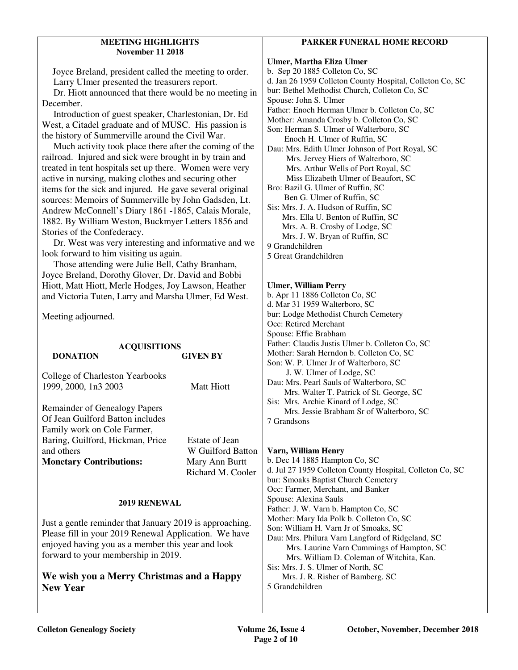#### **MEETING HIGHLIGHTS November 11 2018**

 Joyce Breland, president called the meeting to order. Larry Ulmer presented the treasurers report.

 Dr. Hiott announced that there would be no meeting in December.

 Introduction of guest speaker, Charlestonian, Dr. Ed West, a Citadel graduate and of MUSC. His passion is the history of Summerville around the Civil War.

 Much activity took place there after the coming of the railroad. Injured and sick were brought in by train and treated in tent hospitals set up there. Women were very active in nursing, making clothes and securing other items for the sick and injured. He gave several original sources: Memoirs of Summerville by John Gadsden, Lt. Andrew McConnell's Diary 1861 -1865, Calais Morale, 1882. By William Weston, Buckmyer Letters 1856 and Stories of the Confederacy.

 Dr. West was very interesting and informative and we look forward to him visiting us again.

 Those attending were Julie Bell, Cathy Branham, Joyce Breland, Dorothy Glover, Dr. David and Bobbi Hiott, Matt Hiott, Merle Hodges, Joy Lawson, Heather and Victoria Tuten, Larry and Marsha Ulmer, Ed West.

Meeting adjourned.

| <b>ACQUISITIONS</b><br><b>DONATION</b>                                                                                                                                                                        | <b>GIVEN BY</b>                                                            |  |
|---------------------------------------------------------------------------------------------------------------------------------------------------------------------------------------------------------------|----------------------------------------------------------------------------|--|
| College of Charleston Yearbooks<br>1999, 2000, 1n3 2003                                                                                                                                                       | Matt Hiott                                                                 |  |
| <b>Remainder of Genealogy Papers</b><br>Of Jean Guilford Batton includes<br>Family work on Cole Farmer,<br>Baring, Guilford, Hickman, Price<br>and others<br><b>Monetary Contributions:</b>                   | Estate of Jean<br>W Guilford Batton<br>Mary Ann Burtt<br>Richard M. Cooler |  |
| 2019 RENEWAL                                                                                                                                                                                                  |                                                                            |  |
| Just a gentle reminder that January 2019 is approaching.<br>Please fill in your 2019 Renewal Application. We have<br>enjoyed having you as a member this year and look<br>forward to your membership in 2019. |                                                                            |  |
| We wish you a Merry Christmas and a Happy<br><b>New Year</b>                                                                                                                                                  |                                                                            |  |

## **PARKER FUNERAL HOME RECORD**

**Ulmer, Martha Eliza Ulmer**  b. Sep 20 1885 Colleton Co, SC d. Jan 26 1959 Colleton County Hospital, Colleton Co, SC bur: Bethel Methodist Church, Colleton Co, SC Spouse: John S. Ulmer Father: Enoch Herman Ulmer b. Colleton Co, SC Mother: Amanda Crosby b. Colleton Co, SC Son: Herman S. Ulmer of Walterboro, SC Enoch H. Ulmer of Ruffin, SC Dau: Mrs. Edith Ulmer Johnson of Port Royal, SC Mrs. Jervey Hiers of Walterboro, SC Mrs. Arthur Wells of Port Royal, SC Miss Elizabeth Ulmer of Beaufort, SC Bro: Bazil G. Ulmer of Ruffin, SC Ben G. Ulmer of Ruffin, SC Sis: Mrs. J. A. Hudson of Ruffin, SC Mrs. Ella U. Benton of Ruffin, SC Mrs. A. B. Crosby of Lodge, SC Mrs. J. W. Bryan of Ruffin, SC 9 Grandchildren 5 Great Grandchildren

#### **Ulmer, William Perry**

b. Apr 11 1886 Colleton Co, SC d. Mar 31 1959 Walterboro, SC bur: Lodge Methodist Church Cemetery Occ: Retired Merchant Spouse: Effie Brabham Father: Claudis Justis Ulmer b. Colleton Co, SC Mother: Sarah Herndon b. Colleton Co, SC Son: W. P. Ulmer Jr of Walterboro, SC J. W. Ulmer of Lodge, SC Dau: Mrs. Pearl Sauls of Walterboro, SC Mrs. Walter T. Patrick of St. George, SC Sis: Mrs. Archie Kinard of Lodge, SC Mrs. Jessie Brabham Sr of Walterboro, SC 7 Grandsons

**Varn, William Henry**  b. Dec 14 1885 Hampton Co, SC d. Jul 27 1959 Colleton County Hospital, Colleton Co, SC bur: Smoaks Baptist Church Cemetery Occ: Farmer, Merchant, and Banker Spouse: Alexina Sauls Father: J. W. Varn b. Hampton Co, SC Mother: Mary Ida Polk b. Colleton Co, SC Son: William H. Varn Jr of Smoaks, SC Dau: Mrs. Philura Varn Langford of Ridgeland, SC Mrs. Laurine Varn Cummings of Hampton, SC Mrs. William D. Coleman of Witchita, Kan. Sis: Mrs. J. S. Ulmer of North, SC Mrs. J. R. Risher of Bamberg. SC 5 Grandchildren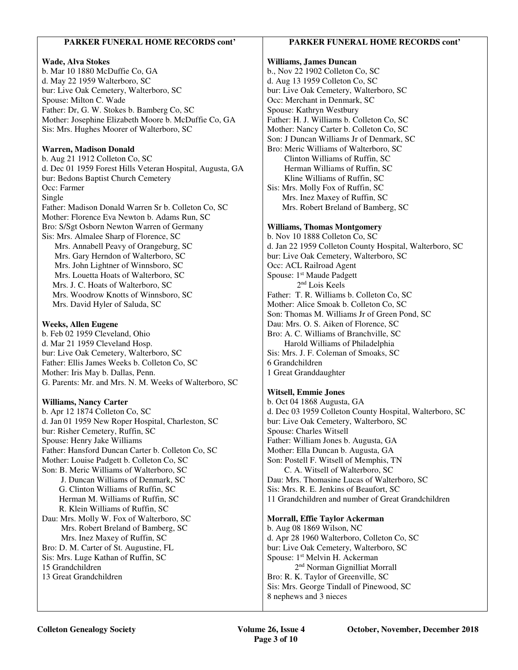### **PARKER FUNERAL HOME RECORDS cont'**

#### **Wade, Alva Stokes**

b. Mar 10 1880 McDuffie Co, GA d. May 22 1959 Walterboro, SC bur: Live Oak Cemetery, Walterboro, SC Spouse: Milton C. Wade Father: Dr, G. W. Stokes b. Bamberg Co, SC Mother: Josephine Elizabeth Moore b. McDuffie Co, GA Sis: Mrs. Hughes Moorer of Walterboro, SC

#### **Warren, Madison Donald**

b. Aug 21 1912 Colleton Co, SC d. Dec 01 1959 Forest Hills Veteran Hospital, Augusta, GA bur: Bedons Baptist Church Cemetery Occ: Farmer Single Father: Madison Donald Warren Sr b. Colleton Co, SC Mother: Florence Eva Newton b. Adams Run, SC Bro: S/Sgt Osborn Newton Warren of Germany Sis: Mrs. Almalee Sharp of Florence, SC Mrs. Annabell Peavy of Orangeburg, SC Mrs. Gary Herndon of Walterboro, SC Mrs. John Lightner of Winnsboro, SC Mrs. Louetta Hoats of Walterboro, SC Mrs. J. C. Hoats of Walterboro, SC Mrs. Woodrow Knotts of Winnsboro, SC Mrs. David Hyler of Saluda, SC

#### **Weeks, Allen Eugene**

b. Feb 02 1959 Cleveland, Ohio d. Mar 21 1959 Cleveland Hosp. bur: Live Oak Cemetery, Walterboro, SC Father: Ellis James Weeks b. Colleton Co, SC Mother: Iris May b. Dallas, Penn. G. Parents: Mr. and Mrs. N. M. Weeks of Walterboro, SC

#### **Williams, Nancy Carter**

b. Apr 12 1874 Colleton Co, SC d. Jan 01 1959 New Roper Hospital, Charleston, SC bur: Risher Cemetery, Ruffin, SC Spouse: Henry Jake Williams Father: Hansford Duncan Carter b. Colleton Co, SC Mother: Louise Padgett b. Colleton Co, SC Son: B. Meric Williams of Walterboro, SC J. Duncan Williams of Denmark, SC G. Clinton Williams of Ruffin, SC Herman M. Williams of Ruffin, SC R. Klein Williams of Ruffin, SC Dau: Mrs. Molly W. Fox of Walterboro, SC Mrs. Robert Breland of Bamberg, SC Mrs. Inez Maxey of Ruffin, SC Bro: D. M. Carter of St. Augustine, FL Sis: Mrs. Luge Kathan of Ruffin, SC 15 Grandchildren 13 Great Grandchildren

#### **PARKER FUNERAL HOME RECORDS cont'**

#### **Williams, James Duncan**  b., Nov 22 1902 Colleton Co, SC d. Aug 13 1959 Colleton Co, SC bur: Live Oak Cemetery, Walterboro, SC Occ: Merchant in Denmark, SC Spouse: Kathryn Westbury

Father: H. J. Williams b. Colleton Co, SC Mother: Nancy Carter b. Colleton Co, SC Son: J Duncan Williams Jr of Denmark, SC Bro: Meric Williams of Walterboro, SC Clinton Williams of Ruffin, SC Herman Williams of Ruffin, SC Kline Williams of Ruffin, SC

Sis: Mrs. Molly Fox of Ruffin, SC Mrs. Inez Maxey of Ruffin, SC Mrs. Robert Breland of Bamberg, SC

#### **Williams, Thomas Montgomery**

b. Nov 10 1888 Colleton Co, SC d. Jan 22 1959 Colleton County Hospital, Walterboro, SC bur: Live Oak Cemetery, Walterboro, SC Occ: ACL Railroad Agent Spouse: 1<sup>st</sup> Maude Padgett 2nd Lois Keels Father: T. R. Williams b. Colleton Co, SC Mother: Alice Smoak b. Colleton Co, SC Son: Thomas M. Williams Jr of Green Pond, SC Dau: Mrs. O. S. Aiken of Florence, SC Bro: A. C. Williams of Branchville, SC Harold Williams of Philadelphia Sis: Mrs. J. F. Coleman of Smoaks, SC 6 Grandchildren 1 Great Granddaughter

#### **Witsell, Emmie Jones**

b. Oct 04 1868 Augusta, GA d. Dec 03 1959 Colleton County Hospital, Walterboro, SC bur: Live Oak Cemetery, Walterboro, SC Spouse: Charles Witsell Father: William Jones b. Augusta, GA Mother: Ella Duncan b. Augusta, GA Son: Postell F. Witsell of Memphis, TN C. A. Witsell of Walterboro, SC Dau: Mrs. Thomasine Lucas of Walterboro, SC Sis: Mrs. R. E. Jenkins of Beaufort, SC 11 Grandchildren and number of Great Grandchildren

#### **Morrall, Effie Taylor Ackerman**

b. Aug 08 1869 Wilson, NC d. Apr 28 1960 Walterboro, Colleton Co, SC bur: Live Oak Cemetery, Walterboro, SC Spouse: 1st Melvin H. Ackerman 2nd Norman Gignilliat Morrall Bro: R. K. Taylor of Greenville, SC Sis: Mrs. George Tindall of Pinewood, SC 8 nephews and 3 nieces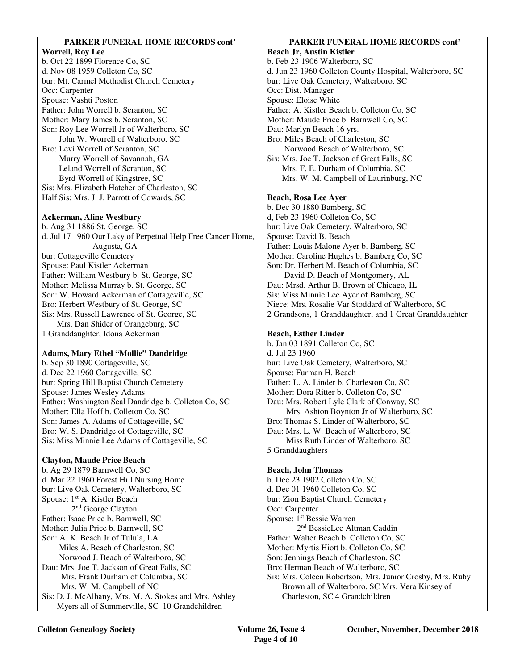#### **PARKER FUNERAL HOME RECORDS cont' Worrell, Roy Lee**  b. Oct 22 1899 Florence Co, SC d. Nov 08 1959 Colleton Co, SC bur: Mt. Carmel Methodist Church Cemetery Occ: Carpenter Spouse: Vashti Poston Father: John Worrell b. Scranton, SC Mother: Mary James b. Scranton, SC Son: Roy Lee Worrell Jr of Walterboro, SC John W. Worrell of Walterboro, SC Bro: Levi Worrell of Scranton, SC Murry Worrell of Savannah, GA Leland Worrell of Scranton, SC Byrd Worrell of Kingstree, SC Sis: Mrs. Elizabeth Hatcher of Charleston, SC Half Sis: Mrs. J. J. Parrott of Cowards, SC **Ackerman, Aline Westbury**  b. Aug 31 1886 St. George, SC d. Jul 17 1960 Our Laky of Perpetual Help Free Cancer Home, Augusta, GA bur: Cottageville Cemetery Spouse: Paul Kistler Ackerman Father: William Westbury b. St. George, SC Mother: Melissa Murray b. St. George, SC Son: W. Howard Ackerman of Cottageville, SC Bro: Herbert Westbury of St. George, SC Sis: Mrs. Russell Lawrence of St. George, SC Mrs. Dan Shider of Orangeburg, SC 1 Granddaughter, Idona Ackerman **Adams, Mary Ethel "Mollie" Dandridge**  b. Sep 30 1890 Cottageville, SC d. Dec 22 1960 Cottageville, SC bur: Spring Hill Baptist Church Cemetery Spouse: James Wesley Adams Father: Washington Seal Dandridge b. Colleton Co, SC Mother: Ella Hoff b. Colleton Co, SC Son: James A. Adams of Cottageville, SC Bro: W. S. Dandridge of Cottageville, SC Sis: Miss Minnie Lee Adams of Cottageville, SC **Clayton, Maude Price Beach**  b. Ag 29 1879 Barnwell Co, SC d. Mar 22 1960 Forest Hill Nursing Home bur: Live Oak Cemetery, Walterboro, SC Spouse: 1<sup>st</sup> A. Kistler Beach 2nd George Clayton Father: Isaac Price b. Barnwell, SC Mother: Julia Price b. Barnwell, SC Son: A. K. Beach Jr of Tulula, LA Miles A. Beach of Charleston, SC Norwood J. Beach of Walterboro, SC Dau: Mrs. Joe T. Jackson of Great Falls, SC Mrs. Frank Durham of Columbia, SC Mrs. W. M. Campbell of NC Sis: D. J. McAlhany, Mrs. M. A. Stokes and Mrs. Ashley Myers all of Summerville, SC 10 Grandchildren **PARKER FUNERAL HOME RECORDS cont' Beach Jr, Austin Kistler**  b. Feb 23 1906 Walterboro, SC d. Jun 23 1960 Colleton County Hospital, Walterboro, SC bur: Live Oak Cemetery, Walterboro, SC Occ: Dist. Manager Spouse: Eloise White Father: A. Kistler Beach b. Colleton Co, SC Mother: Maude Price b. Barnwell Co, SC Dau: Marlyn Beach 16 yrs. Bro: Miles Beach of Charleston, SC Norwood Beach of Walterboro, SC Sis: Mrs. Joe T. Jackson of Great Falls, SC Mrs. F. E. Durham of Columbia, SC Mrs. W. M. Campbell of Laurinburg, NC **Beach, Rosa Lee Ayer**  b. Dec 30 1880 Bamberg, SC d, Feb 23 1960 Colleton Co, SC bur: Live Oak Cemetery, Walterboro, SC Spouse: David B. Beach Father: Louis Malone Ayer b. Bamberg, SC Mother: Caroline Hughes b. Bamberg Co, SC Son: Dr. Herbert M. Beach of Columbia, SC David D. Beach of Montgomery, AL Dau: Mrsd. Arthur B. Brown of Chicago, IL Sis: Miss Minnie Lee Ayer of Bamberg, SC Niece: Mrs. Rosalie Var Stoddard of Walterboro, SC 2 Grandsons, 1 Granddaughter, and 1 Great Granddaughter **Beach, Esther Linder**  b. Jan 03 1891 Colleton Co, SC d. Jul 23 1960 bur: Live Oak Cemetery, Walterboro, SC Spouse: Furman H. Beach Father: L. A. Linder b, Charleston Co, SC Mother: Dora Ritter b. Colleton Co, SC Dau: Mrs. Robert Lyle Clark of Conway, SC Mrs. Ashton Boynton Jr of Walterboro, SC Bro: Thomas S. Linder of Walterboro, SC Dau: Mrs. L. W. Beach of Walterboro, SC Miss Ruth Linder of Walterboro, SC 5 Granddaughters **Beach, John Thomas**  b. Dec 23 1902 Colleton Co, SC d. Dec 01 1960 Colleton Co, SC bur: Zion Baptist Church Cemetery Occ: Carpenter Spouse: 1st Bessie Warren 2nd BessieLee Altman Caddin Father: Walter Beach b. Colleton Co, SC Mother: Myrtis Hiott b. Colleton Co, SC Son: Jennings Beach of Charleston, SC Bro: Herman Beach of Walterboro, SC Sis: Mrs. Coleen Robertson, Mrs. Junior Crosby, Mrs. Ruby Brown all of Walterboro, SC Mrs. Vera Kinsey of Charleston, SC 4 Grandchildren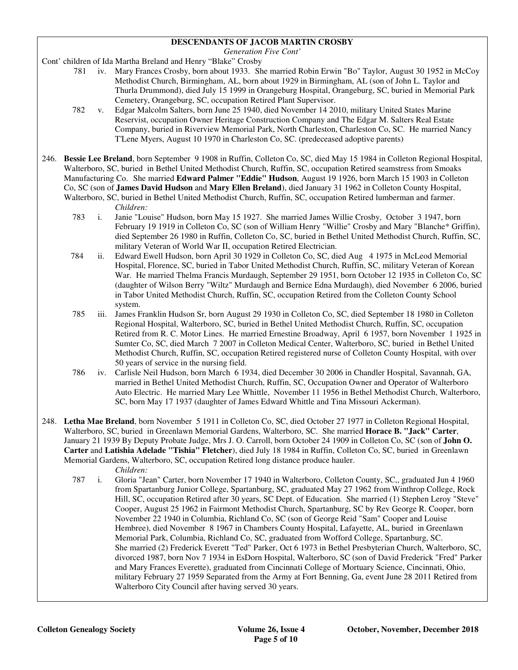#### **DESCENDANTS OF JACOB MARTIN CROSBY**

*Generation Five Cont'* 

Cont' children of Ida Martha Breland and Henry "Blake" Crosby

- 781 iv. Mary Frances Crosby, born about 1933. She married Robin Erwin "Bo" Taylor, August 30 1952 in McCoy Methodist Church, Birmingham, AL, born about 1929 in Birmingham, AL (son of John L. Taylor and Thurla Drummond), died July 15 1999 in Orangeburg Hospital, Orangeburg, SC, buried in Memorial Park Cemetery, Orangeburg, SC, occupation Retired Plant Supervisor.
- 782 v. Edgar Malcolm Salters, born June 25 1940, died November 14 2010, military United States Marine Reservist, occupation Owner Heritage Construction Company and The Edgar M. Salters Real Estate Company, buried in Riverview Memorial Park, North Charleston, Charleston Co, SC. He married Nancy T'Lene Myers, August 10 1970 in Charleston Co, SC. (predeceased adoptive parents)
- 246. **Bessie Lee Breland**, born September 9 1908 in Ruffin, Colleton Co, SC, died May 15 1984 in Colleton Regional Hospital, Walterboro, SC, buried in Bethel United Methodist Church, Ruffin, SC, occupation Retired seamstress from Smoaks Manufacturing Co. She married **Edward Palmer "Eddie" Hudson**, August 19 1926, born March 15 1903 in Colleton Co, SC (son of **James David Hudson** and **Mary Ellen Breland**), died January 31 1962 in Colleton County Hospital, Walterboro, SC, buried in Bethel United Methodist Church, Ruffin, SC, occupation Retired lumberman and farmer.

*Children:*

- 783 i. Janie "Louise" Hudson, born May 15 1927. She married James Willie Crosby, October 3 1947, born February 19 1919 in Colleton Co, SC (son of William Henry "Willie" Crosby and Mary "Blanche\* Griffin), died September 26 1980 in Ruffin, Colleton Co, SC, buried in Bethel United Methodist Church, Ruffin, SC, military Veteran of World War II, occupation Retired Electrician.
- 784 ii. Edward Ewell Hudson, born April 30 1929 in Colleton Co, SC, died Aug 4 1975 in McLeod Memorial Hospital, Florence, SC, buried in Tabor United Methodist Church, Ruffin, SC, military Veteran of Korean War. He married Thelma Francis Murdaugh, September 29 1951, born October 12 1935 in Colleton Co, SC (daughter of Wilson Berry "Wiltz" Murdaugh and Bernice Edna Murdaugh), died November 6 2006, buried in Tabor United Methodist Church, Ruffin, SC, occupation Retired from the Colleton County School system.
- 785 iii. James Franklin Hudson Sr, born August 29 1930 in Colleton Co, SC, died September 18 1980 in Colleton Regional Hospital, Walterboro, SC, buried in Bethel United Methodist Church, Ruffin, SC, occupation Retired from R. C. Motor Lines. He married Ernestine Broadway, April 6 1957, born November 1 1925 in Sumter Co, SC, died March 7 2007 in Colleton Medical Center, Walterboro, SC, buried in Bethel United Methodist Church, Ruffin, SC, occupation Retired registered nurse of Colleton County Hospital, with over 50 years of service in the nursing field.
- 786 iv. Carlisle Neil Hudson, born March 6 1934, died December 30 2006 in Chandler Hospital, Savannah, GA, married in Bethel United Methodist Church, Ruffin, SC, Occupation Owner and Operator of Walterboro Auto Electric. He married Mary Lee Whittle, November 11 1956 in Bethel Methodist Church, Walterboro, SC, born May 17 1937 (daughter of James Edward Whittle and Tina Missouri Ackerman).
- 248. **Letha Mae Breland**, born November 5 1911 in Colleton Co, SC, died October 27 1977 in Colleton Regional Hospital, Walterboro, SC, buried in Greenlawn Memorial Gardens, Walterboro, SC. She married **Horace B. "Jack" Carter**, January 21 1939 By Deputy Probate Judge, Mrs J. O. Carroll, born October 24 1909 in Colleton Co, SC (son of **John O. Carter** and **Latishia Adelade "Tishia" Fletcher**), died July 18 1984 in Ruffin, Colleton Co, SC, buried in Greenlawn Memorial Gardens, Walterboro, SC, occupation Retired long distance produce hauler. *Children:*
	- 787 i. Gloria "Jean" Carter, born November 17 1940 in Walterboro, Colleton County, SC,, graduated Jun 4 1960 from Spartanburg Junior College, Spartanburg, SC, graduated May 27 1962 from Winthrop College, Rock Hill, SC, occupation Retired after 30 years, SC Dept. of Education. She married (1) Stephen Leroy "Steve" Cooper, August 25 1962 in Fairmont Methodist Church, Spartanburg, SC by Rev George R. Cooper, born November 22 1940 in Columbia, Richland Co, SC (son of George Reid "Sam" Cooper and Louise Hembree), died November 8 1967 in Chambers County Hospital, Lafayette, AL, buried in Greenlawn Memorial Park, Columbia, Richland Co, SC, graduated from Wofford College, Spartanburg, SC. She married (2) Frederick Everett "Ted" Parker, Oct 6 1973 in Bethel Presbyterian Church, Walterboro, SC, divorced 1987, born Nov 7 1934 in EsDorn Hospital, Walterboro, SC (son of David Frederick "Fred" Parker and Mary Frances Everette), graduated from Cincinnati College of Mortuary Science, Cincinnati, Ohio, military February 27 1959 Separated from the Army at Fort Benning, Ga, event June 28 2011 Retired from Walterboro City Council after having served 30 years.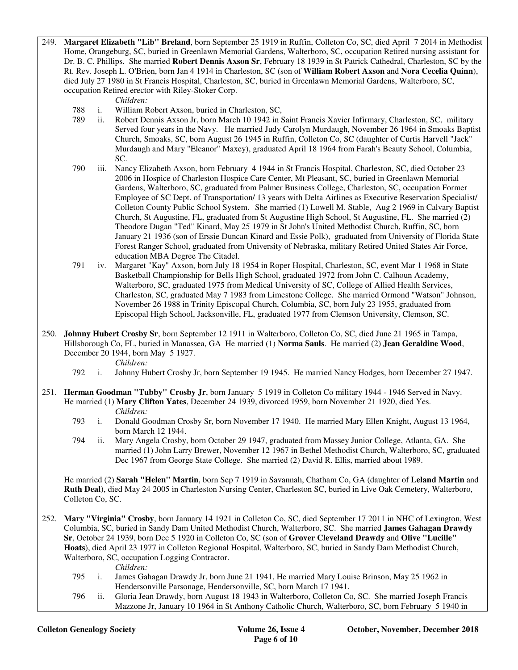249. **Margaret Elizabeth "Lib" Breland**, born September 25 1919 in Ruffin, Colleton Co, SC, died April 7 2014 in Methodist Home, Orangeburg, SC, buried in Greenlawn Memorial Gardens, Walterboro, SC, occupation Retired nursing assistant for Dr. B. C. Phillips. She married **Robert Dennis Axson Sr**, February 18 1939 in St Patrick Cathedral, Charleston, SC by the Rt. Rev. Joseph L. O'Brien, born Jan 4 1914 in Charleston, SC (son of **William Robert Axson** and **Nora Cecelia Quinn**), died July 27 1980 in St Francis Hospital, Charleston, SC, buried in Greenlawn Memorial Gardens, Walterboro, SC, occupation Retired erector with Riley-Stoker Corp.

*Children:*

- 788 i. William Robert Axson, buried in Charleston, SC,
- 789 ii. Robert Dennis Axson Jr, born March 10 1942 in Saint Francis Xavier Infirmary, Charleston, SC, military Served four years in the Navy. He married Judy Carolyn Murdaugh, November 26 1964 in Smoaks Baptist Church, Smoaks, SC, born August 26 1945 in Ruffin, Colleton Co, SC (daughter of Curtis Harvell "Jack" Murdaugh and Mary "Eleanor" Maxey), graduated April 18 1964 from Farah's Beauty School, Columbia, SC.
- 790 iii. Nancy Elizabeth Axson, born February 4 1944 in St Francis Hospital, Charleston, SC, died October 23 2006 in Hospice of Charleston Hospice Care Center, Mt Pleasant, SC, buried in Greenlawn Memorial Gardens, Walterboro, SC, graduated from Palmer Business College, Charleston, SC, occupation Former Employee of SC Dept. of Transportation/ 13 years with Delta Airlines as Executive Reservation Specialist/ Colleton County Public School System. She married (1) Lowell M. Stable, Aug 2 1969 in Calvary Baptist Church, St Augustine, FL, graduated from St Augustine High School, St Augustine, FL. She married (2) Theodore Dugan "Ted" Kinard, May 25 1979 in St John's United Methodist Church, Ruffin, SC, born January 21 1936 (son of Erssie Duncan Kinard and Essie Polk), graduated from University of Florida State Forest Ranger School, graduated from University of Nebraska, military Retired United States Air Force, education MBA Degree The Citadel.
- 791 iv. Margaret "Kay" Axson, born July 18 1954 in Roper Hospital, Charleston, SC, event Mar 1 1968 in State Basketball Championship for Bells High School, graduated 1972 from John C. Calhoun Academy, Walterboro, SC, graduated 1975 from Medical University of SC, College of Allied Health Services, Charleston, SC, graduated May 7 1983 from Limestone College. She married Ormond "Watson" Johnson, November 26 1988 in Trinity Episcopal Church, Columbia, SC, born July 23 1955, graduated from Episcopal High School, Jacksonville, FL, graduated 1977 from Clemson University, Clemson, SC.
- 250. **Johnny Hubert Crosby Sr**, born September 12 1911 in Walterboro, Colleton Co, SC, died June 21 1965 in Tampa, Hillsborough Co, FL, buried in Manassea, GA He married (1) **Norma Sauls**. He married (2) **Jean Geraldine Wood**, December 20 1944, born May 5 1927.
	- *Children:*
	- 792 i. Johnny Hubert Crosby Jr, born September 19 1945. He married Nancy Hodges, born December 27 1947.
- 251. **Herman Goodman "Tubby" Crosby Jr**, born January 5 1919 in Colleton Co military 1944 1946 Served in Navy. He married (1) **Mary Clifton Yates**, December 24 1939, divorced 1959, born November 21 1920, died Yes. *Children:*
	- 793 i. Donald Goodman Crosby Sr, born November 17 1940. He married Mary Ellen Knight, August 13 1964, born March 12 1944.
	- 794 ii. Mary Angela Crosby, born October 29 1947, graduated from Massey Junior College, Atlanta, GA. She married (1) John Larry Brewer, November 12 1967 in Bethel Methodist Church, Walterboro, SC, graduated Dec 1967 from George State College. She married (2) David R. Ellis, married about 1989.

 He married (2) **Sarah "Helen" Martin**, born Sep 7 1919 in Savannah, Chatham Co, GA (daughter of **Leland Martin** and **Ruth Deal**), died May 24 2005 in Charleston Nursing Center, Charleston SC, buried in Live Oak Cemetery, Walterboro, Colleton Co, SC.

252. **Mary "Virginia" Crosby**, born January 14 1921 in Colleton Co, SC, died September 17 2011 in NHC of Lexington, West Columbia, SC, buried in Sandy Dam United Methodist Church, Walterboro, SC. She married **James Gahagan Drawdy Sr**, October 24 1939, born Dec 5 1920 in Colleton Co, SC (son of **Grover Cleveland Drawdy** and **Olive "Lucille" Hoats**), died April 23 1977 in Colleton Regional Hospital, Walterboro, SC, buried in Sandy Dam Methodist Church, Walterboro, SC, occupation Logging Contractor.

*Children:*

- 795 i. James Gahagan Drawdy Jr, born June 21 1941, He married Mary Louise Brinson, May 25 1962 in Hendersonville Parsonage, Hendersonville, SC, born March 17 1941.
- 796 ii. Gloria Jean Drawdy, born August 18 1943 in Walterboro, Colleton Co, SC. She married Joseph Francis Mazzone Jr, January 10 1964 in St Anthony Catholic Church, Walterboro, SC, born February 5 1940 in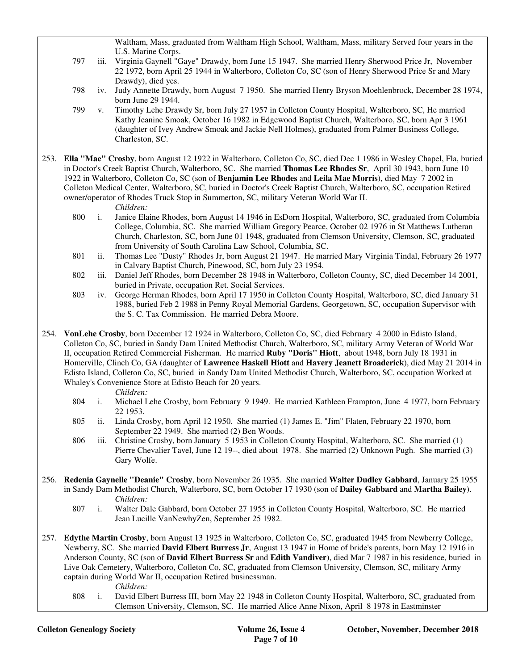Waltham, Mass, graduated from Waltham High School, Waltham, Mass, military Served four years in the U.S. Marine Corps.

- 797 iii. Virginia Gaynell "Gaye" Drawdy, born June 15 1947. She married Henry Sherwood Price Jr, November 22 1972, born April 25 1944 in Walterboro, Colleton Co, SC (son of Henry Sherwood Price Sr and Mary Drawdy), died yes.
- 798 iv. Judy Annette Drawdy, born August 7 1950. She married Henry Bryson Moehlenbrock, December 28 1974, born June 29 1944.
- 799 v. Timothy Lehe Drawdy Sr, born July 27 1957 in Colleton County Hospital, Walterboro, SC, He married Kathy Jeanine Smoak, October 16 1982 in Edgewood Baptist Church, Walterboro, SC, born Apr 3 1961 (daughter of Ivey Andrew Smoak and Jackie Nell Holmes), graduated from Palmer Business College, Charleston, SC.
- 253. **Ella "Mae" Crosby**, born August 12 1922 in Walterboro, Colleton Co, SC, died Dec 1 1986 in Wesley Chapel, Fla, buried in Doctor's Creek Baptist Church, Walterboro, SC. She married **Thomas Lee Rhodes Sr**, April 30 1943, born June 10 1922 in Walterboro, Colleton Co, SC (son of **Benjamin Lee Rhodes** and **Leila Mae Morris**), died May 7 2002 in Colleton Medical Center, Walterboro, SC, buried in Doctor's Creek Baptist Church, Walterboro, SC, occupation Retired owner/operator of Rhodes Truck Stop in Summerton, SC, military Veteran World War II.
	- *Children:*
	- 800 i. Janice Elaine Rhodes, born August 14 1946 in EsDorn Hospital, Walterboro, SC, graduated from Columbia College, Columbia, SC. She married William Gregory Pearce, October 02 1976 in St Matthews Lutheran Church, Charleston, SC, born June 01 1948, graduated from Clemson University, Clemson, SC, graduated from University of South Carolina Law School, Columbia, SC.
	- 801 ii. Thomas Lee "Dusty" Rhodes Jr, born August 21 1947. He married Mary Virginia Tindal, February 26 1977 in Calvary Baptist Church, Pinewood, SC, born July 23 1954.
	- 802 iii. Daniel Jeff Rhodes, born December 28 1948 in Walterboro, Colleton County, SC, died December 14 2001, buried in Private, occupation Ret. Social Services.
	- 803 iv. George Herman Rhodes, born April 17 1950 in Colleton County Hospital, Walterboro, SC, died January 31 1988, buried Feb 2 1988 in Penny Royal Memorial Gardens, Georgetown, SC, occupation Supervisor with the S. C. Tax Commission. He married Debra Moore.
- 254. **VonLehe Crosby**, born December 12 1924 in Walterboro, Colleton Co, SC, died February 4 2000 in Edisto Island, Colleton Co, SC, buried in Sandy Dam United Methodist Church, Walterboro, SC, military Army Veteran of World War II, occupation Retired Commercial Fisherman. He married **Ruby "Doris" Hiott**, about 1948, born July 18 1931 in Homerville, Clinch Co, GA (daughter of **Lawrence Haskell Hiott** and **Havery Jeanett Broaderick**), died May 21 2014 in Edisto Island, Colleton Co, SC, buried in Sandy Dam United Methodist Church, Walterboro, SC, occupation Worked at Whaley's Convenience Store at Edisto Beach for 20 years.
	- *Children:*
	- 804 i. Michael Lehe Crosby, born February 9 1949. He married Kathleen Frampton, June 4 1977, born February 22 1953.
	- 805 ii. Linda Crosby, born April 12 1950. She married (1) James E. "Jim" Flaten, February 22 1970, born September 22 1949. She married (2) Ben Woods.
	- 806 iii. Christine Crosby, born January 5 1953 in Colleton County Hospital, Walterboro, SC. She married (1) Pierre Chevalier Tavel, June 12 19--, died about 1978. She married (2) Unknown Pugh. She married (3) Gary Wolfe.
- 256. **Redenia Gaynelle "Deanie" Crosby**, born November 26 1935. She married **Walter Dudley Gabbard**, January 25 1955 in Sandy Dam Methodist Church, Walterboro, SC, born October 17 1930 (son of **Dailey Gabbard** and **Martha Bailey**). *Children:*
	- 807 i. Walter Dale Gabbard, born October 27 1955 in Colleton County Hospital, Walterboro, SC. He married Jean Lucille VanNewhyZen, September 25 1982.
- 257. **Edythe Martin Crosby**, born August 13 1925 in Walterboro, Colleton Co, SC, graduated 1945 from Newberry College, Newberry, SC. She married **David Elbert Burress Jr**, August 13 1947 in Home of bride's parents, born May 12 1916 in Anderson County, SC (son of **David Elbert Burress Sr** and **Edith Vandiver**), died Mar 7 1987 in his residence, buried in Live Oak Cemetery, Walterboro, Colleton Co, SC, graduated from Clemson University, Clemson, SC, military Army captain during World War II, occupation Retired businessman.
	- *Children:*
	- 808 i. David Elbert Burress III, born May 22 1948 in Colleton County Hospital, Walterboro, SC, graduated from Clemson University, Clemson, SC. He married Alice Anne Nixon, April 8 1978 in Eastminster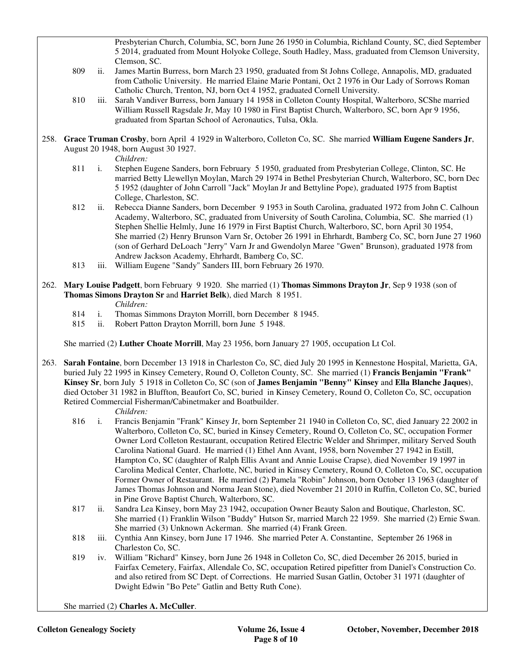Presbyterian Church, Columbia, SC, born June 26 1950 in Columbia, Richland County, SC, died September 5 2014, graduated from Mount Holyoke College, South Hadley, Mass, graduated from Clemson University, Clemson, SC.

- 809 ii. James Martin Burress, born March 23 1950, graduated from St Johns College, Annapolis, MD, graduated from Catholic University. He married Elaine Marie Pontani, Oct 2 1976 in Our Lady of Sorrows Roman Catholic Church, Trenton, NJ, born Oct 4 1952, graduated Cornell University.
- 810 iii. Sarah Vandiver Burress, born January 14 1958 in Colleton County Hospital, Walterboro, SCShe married William Russell Ragsdale Jr, May 10 1980 in First Baptist Church, Walterboro, SC, born Apr 9 1956, graduated from Spartan School of Aeronautics, Tulsa, Okla.
- 258. **Grace Truman Crosby**, born April 4 1929 in Walterboro, Colleton Co, SC. She married **William Eugene Sanders Jr**, August 20 1948, born August 30 1927.

*Children:*

- 811 i. Stephen Eugene Sanders, born February 5 1950, graduated from Presbyterian College, Clinton, SC. He married Betty Llewellyn Moylan, March 29 1974 in Bethel Presbyterian Church, Walterboro, SC, born Dec 5 1952 (daughter of John Carroll "Jack" Moylan Jr and Bettyline Pope), graduated 1975 from Baptist College, Charleston, SC.
- 812 ii. Rebecca Dianne Sanders, born December 9 1953 in South Carolina, graduated 1972 from John C. Calhoun Academy, Walterboro, SC, graduated from University of South Carolina, Columbia, SC. She married (1) Stephen Shellie Helmly, June 16 1979 in First Baptist Church, Walterboro, SC, born April 30 1954, She married (2) Henry Brunson Varn Sr, October 26 1991 in Ehrhardt, Bamberg Co, SC, born June 27 1960 (son of Gerhard DeLoach "Jerry" Varn Jr and Gwendolyn Maree "Gwen" Brunson), graduated 1978 from Andrew Jackson Academy, Ehrhardt, Bamberg Co, SC.
- 813 iii. William Eugene "Sandy" Sanders III, born February 26 1970.
- 262. **Mary Louise Padgett**, born February 9 1920. She married (1) **Thomas Simmons Drayton Jr**, Sep 9 1938 (son of **Thomas Simons Drayton Sr** and **Harriet Belk**), died March 8 1951.

*Children:*

- 814 i. Thomas Simmons Drayton Morrill, born December 8 1945.
- 815 ii. Robert Patton Drayton Morrill, born June 5 1948.

She married (2) **Luther Choate Morrill**, May 23 1956, born January 27 1905, occupation Lt Col.

263. **Sarah Fontaine**, born December 13 1918 in Charleston Co, SC, died July 20 1995 in Kennestone Hospital, Marietta, GA, buried July 22 1995 in Kinsey Cemetery, Round O, Colleton County, SC. She married (1) **Francis Benjamin "Frank" Kinsey Sr**, born July 5 1918 in Colleton Co, SC (son of **James Benjamin "Benny" Kinsey** and **Ella Blanche Jaques**), died October 31 1982 in Bluffton, Beaufort Co, SC, buried in Kinsey Cemetery, Round O, Colleton Co, SC, occupation Retired Commercial Fisherman/Cabinetmaker and Boatbuilder.

*Children:*

- 816 i. Francis Benjamin "Frank" Kinsey Jr, born September 21 1940 in Colleton Co, SC, died January 22 2002 in Walterboro, Colleton Co, SC, buried in Kinsey Cemetery, Round O, Colleton Co, SC, occupation Former Owner Lord Colleton Restaurant, occupation Retired Electric Welder and Shrimper, military Served South Carolina National Guard. He married (1) Ethel Ann Avant, 1958, born November 27 1942 in Estill, Hampton Co, SC (daughter of Ralph Ellis Avant and Annie Louise Crapse), died November 19 1997 in Carolina Medical Center, Charlotte, NC, buried in Kinsey Cemetery, Round O, Colleton Co, SC, occupation Former Owner of Restaurant. He married (2) Pamela "Robin" Johnson, born October 13 1963 (daughter of James Thomas Johnson and Norma Jean Stone), died November 21 2010 in Ruffin, Colleton Co, SC, buried in Pine Grove Baptist Church, Walterboro, SC.
- 817 ii. Sandra Lea Kinsey, born May 23 1942, occupation Owner Beauty Salon and Boutique, Charleston, SC. She married (1) Franklin Wilson "Buddy" Hutson Sr, married March 22 1959. She married (2) Ernie Swan. She married (3) Unknown Ackerman. She married (4) Frank Green.
- 818 iii. Cynthia Ann Kinsey, born June 17 1946. She married Peter A. Constantine, September 26 1968 in Charleston Co, SC.
- 819 iv. William "Richard" Kinsey, born June 26 1948 in Colleton Co, SC, died December 26 2015, buried in Fairfax Cemetery, Fairfax, Allendale Co, SC, occupation Retired pipefitter from Daniel's Construction Co. and also retired from SC Dept. of Corrections. He married Susan Gatlin, October 31 1971 (daughter of Dwight Edwin "Bo Pete" Gatlin and Betty Ruth Cone).

She married (2) **Charles A. McCuller**.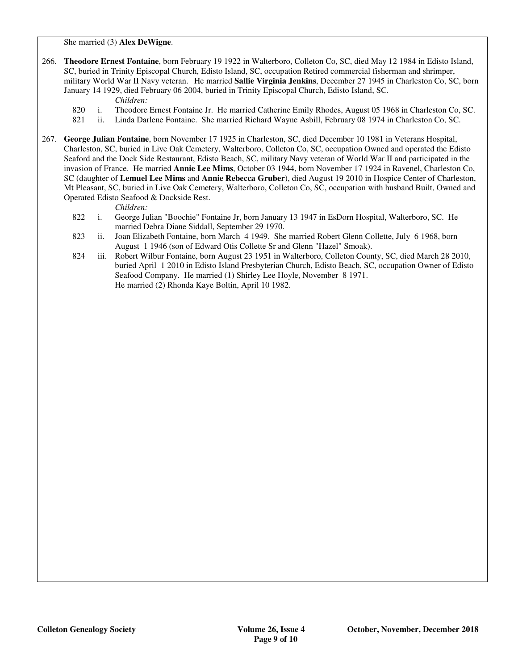She married (3) **Alex DeWigne**.

266. **Theodore Ernest Fontaine**, born February 19 1922 in Walterboro, Colleton Co, SC, died May 12 1984 in Edisto Island, SC, buried in Trinity Episcopal Church, Edisto Island, SC, occupation Retired commercial fisherman and shrimper, military World War II Navy veteran. He married **Sallie Virginia Jenkins**, December 27 1945 in Charleston Co, SC, born January 14 1929, died February 06 2004, buried in Trinity Episcopal Church, Edisto Island, SC.

*Children:*

- 820 i. Theodore Ernest Fontaine Jr. He married Catherine Emily Rhodes, August 05 1968 in Charleston Co, SC.
- 821 ii. Linda Darlene Fontaine. She married Richard Wayne Asbill, February 08 1974 in Charleston Co, SC.
- 267. **George Julian Fontaine**, born November 17 1925 in Charleston, SC, died December 10 1981 in Veterans Hospital, Charleston, SC, buried in Live Oak Cemetery, Walterboro, Colleton Co, SC, occupation Owned and operated the Edisto Seaford and the Dock Side Restaurant, Edisto Beach, SC, military Navy veteran of World War II and participated in the invasion of France. He married **Annie Lee Mims**, October 03 1944, born November 17 1924 in Ravenel, Charleston Co, SC (daughter of **Lemuel Lee Mims** and **Annie Rebecca Gruber**), died August 19 2010 in Hospice Center of Charleston, Mt Pleasant, SC, buried in Live Oak Cemetery, Walterboro, Colleton Co, SC, occupation with husband Built, Owned and Operated Edisto Seafood & Dockside Rest.

*Children:*

- 822 i. George Julian "Boochie" Fontaine Jr, born January 13 1947 in EsDorn Hospital, Walterboro, SC. He married Debra Diane Siddall, September 29 1970.
- 823 ii. Joan Elizabeth Fontaine, born March 4 1949. She married Robert Glenn Collette, July 6 1968, born August 1 1946 (son of Edward Otis Collette Sr and Glenn "Hazel" Smoak).
- 824 iii. Robert Wilbur Fontaine, born August 23 1951 in Walterboro, Colleton County, SC, died March 28 2010, buried April 1 2010 in Edisto Island Presbyterian Church, Edisto Beach, SC, occupation Owner of Edisto Seafood Company. He married (1) Shirley Lee Hoyle, November 8 1971. He married (2) Rhonda Kaye Boltin, April 10 1982.